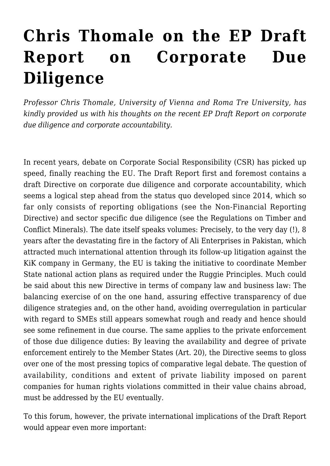## **[Chris Thomale on the EP Draft](https://conflictoflaws.net/2020/chris-thomale-on-the-ep-draft-report-on-corporate-due-diligence/) [Report on Corporate Due](https://conflictoflaws.net/2020/chris-thomale-on-the-ep-draft-report-on-corporate-due-diligence/) [Diligence](https://conflictoflaws.net/2020/chris-thomale-on-the-ep-draft-report-on-corporate-due-diligence/)**

*Professor [Chris Thomale](https://unternehmensrecht.univie.ac.at/en/team/thomale-chris/), University of Vienna and Roma Tre University, has kindly provided us with his thoughts on the recent EP Draft Report on corporate due diligence and corporate accountability.*

In recent years, debate on Corporate Social Responsibility (CSR) has picked up speed, finally reaching the EU. The [Draft Report](https://www.europarl.europa.eu/RegData/commissions/juri/projet_rapport/2020/657191/JURI_PR(2020)657191_EN.pdf) first and foremost contains a draft Directive on corporate due diligence and corporate accountability, which seems a logical step ahead from the status quo developed since 2014, which so far only consists of reporting obligations (see the [Non-Financial Reporting](https://eur-lex.europa.eu/legal-content/EN/TXT/PDF/?uri=CELEX:32014L0095&from=EN) [Directive](https://eur-lex.europa.eu/legal-content/EN/TXT/PDF/?uri=CELEX:32014L0095&from=EN)) and sector specific due diligence (see the Regulations on [Timber](https://eur-lex.europa.eu/legal-content/EN/TXT/PDF/?uri=CELEX:32010R0995&from=EN) and [Conflict Minerals\)](https://eur-lex.europa.eu/legal-content/EN/TXT/PDF/?uri=CELEX:32017R0821&from=EN). The date itself speaks volumes: Precisely, to the very day (!), 8 years after the devastating fire in the factory of Ali Enterprises in Pakistan, which attracted much international attention through its follow-up litigation against the KiK company in Germany, the EU is taking the initiative to coordinate Member State national action plans as required under the [Ruggie Principles.](https://www.ohchr.org/documents/publications/guidingprinciplesbusinesshr_en.pdf) Much could be said about this new Directive in terms of company law and business law: The balancing exercise of on the one hand, assuring effective transparency of due diligence strategies and, on the other hand, avoiding overregulation in particular with regard to SMEs still appears somewhat rough and ready and hence should see some refinement in due course. The same applies to the private enforcement of those due diligence duties: By leaving the availability and degree of private enforcement entirely to the Member States (Art. 20), the Directive seems to gloss over one of the most pressing topics of comparative legal debate. The question of availability, conditions and extent of private liability imposed on parent companies for human rights violations committed in their value chains abroad, must be addressed by the EU eventually.

To this forum, however, the private international implications of the Draft Report would appear even more important: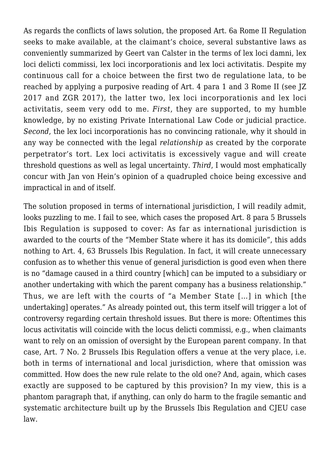As regards the conflicts of laws solution, the proposed Art. 6a Rome II Regulation seeks to make available, at the claimant's choice, several substantive laws as conveniently summarized by [Geert van Calster](https://gavclaw.com/2020/10/02/first-analysis-of-the-european-parliaments-draft-proposal-to-amend-brussels-ia-and-rome-ii-with-a-view-to-corporate-human-rights-due-diligence/) in the terms of lex loci damni, lex loci delicti commissi, lex loci incorporationis and lex loci activitatis. Despite my continuous call for a choice between the first two de regulatione lata, to be reached by applying a purposive reading of Art. 4 para 1 and 3 Rome II (see [JZ](https://www.mohrsiebeck.com/artikel/zivilgerichtliche-durchsetzung-voelkerrechtlicher-unternehmensverantwortung-101628002268817x14888930582415?no_cache=1) [2017](https://www.mohrsiebeck.com/artikel/zivilgerichtliche-durchsetzung-voelkerrechtlicher-unternehmensverantwortung-101628002268817x14888930582415?no_cache=1) and [ZGR 2017](https://www.degruyter.com/view/journals/zgre/46/4/article-p509.xml)), the latter two, lex loci incorporationis and lex loci activitatis, seem very odd to me. *First*, they are supported, to my humble knowledge, by no existing Private International Law Code or judicial practice. *Second*, the lex loci incorporationis has no convincing rationale, why it should in any way be connected with the legal *relationship* as created by the corporate perpetrator's tort. Lex loci activitatis is excessively vague and will create threshold questions as well as legal uncertainty. *Third*, I would most emphatically concur with [Jan von Hein'](https://conflictoflaws.net/2020/back-to-the-future-re-introducing-the-principle-of-ubiquity-for-business-related-human-rights-claims/)s opinion of a quadrupled choice being excessive and impractical in and of itself.

The solution proposed in terms of international jurisdiction, I will readily admit, looks puzzling to me. I fail to see, which cases the proposed Art. 8 para 5 Brussels Ibis Regulation is supposed to cover: As far as international jurisdiction is awarded to the courts of the "Member State where it has its domicile", this adds nothing to Art. 4, 63 Brussels Ibis Regulation. In fact, it will create unnecessary confusion as to whether this venue of general jurisdiction is good even when there is no "damage caused in a third country [which] can be imputed to a subsidiary or another undertaking with which the parent company has a business relationship." Thus, we are left with the courts of "a Member State […] in which [the undertaking] operates." As already pointed out, this term itself will trigger a lot of controversy regarding certain threshold issues. But there is more: Oftentimes this locus activitatis will coincide with the locus delicti commissi, e.g., when claimants want to rely on an omission of oversight by the European parent company. In that case, Art. 7 No. 2 Brussels Ibis Regulation offers a venue at the very place, i.e. both in terms of international and local jurisdiction, where that omission was committed. How does the new rule relate to the old one? And, again, which cases exactly are supposed to be captured by this provision? In my view, this is a phantom paragraph that, if anything, can only do harm to the fragile semantic and systematic architecture built up by the Brussels Ibis Regulation and CJEU case law.